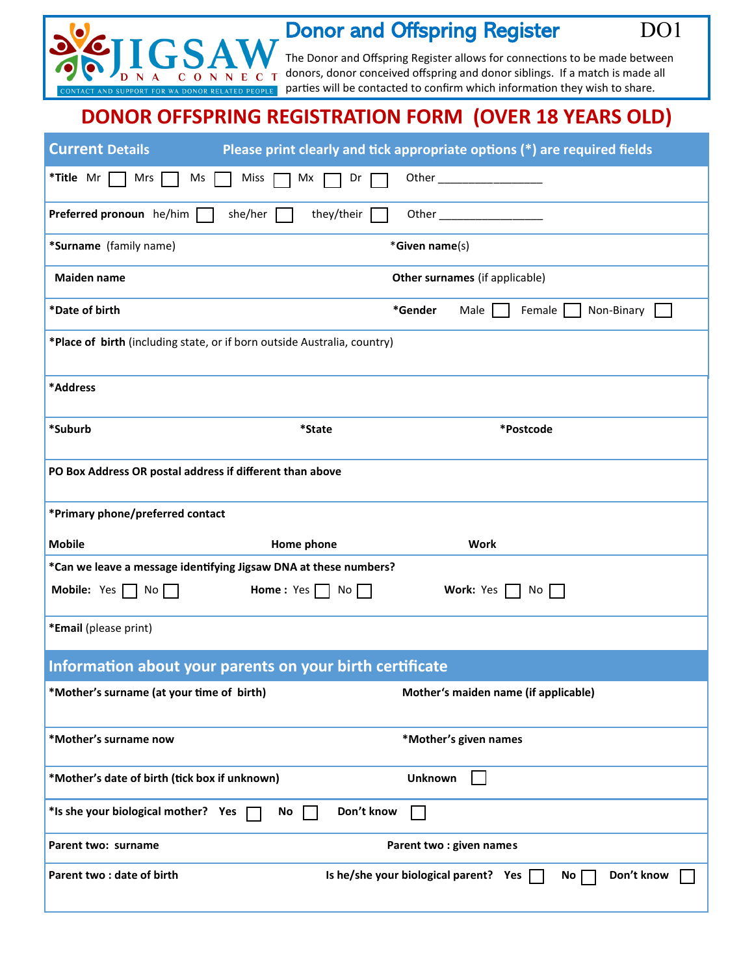

## Donor and Offspring Register DO1

The Donor and Offspring Register allows for connections to be made between donors, donor conceived offspring and donor siblings. If a match is made all parties will be contacted to confirm which information they wish to share.

## **DONOR OFFSPRING REGISTRATION FORM (OVER 18 YEARS OLD)**

| <b>Current Details</b>                                                   |                                                                  | Please print clearly and tick appropriate options (*) are required fields |
|--------------------------------------------------------------------------|------------------------------------------------------------------|---------------------------------------------------------------------------|
| *Title Mr  <br>Mrs<br>Ms                                                 | Miss<br>Mx<br>Dr                                                 |                                                                           |
| Preferred pronoun he/him                                                 | she/her<br>they/their                                            |                                                                           |
| *Surname (family name)                                                   |                                                                  | *Given name(s)                                                            |
| <b>Maiden name</b>                                                       |                                                                  | Other surnames (if applicable)                                            |
| *Date of birth                                                           |                                                                  | *Gender<br>Male<br>Female<br>Non-Binary                                   |
| *Place of birth (including state, or if born outside Australia, country) |                                                                  |                                                                           |
| *Address                                                                 |                                                                  |                                                                           |
| *Suburb                                                                  | *State                                                           | *Postcode                                                                 |
| PO Box Address OR postal address if different than above                 |                                                                  |                                                                           |
| *Primary phone/preferred contact                                         |                                                                  |                                                                           |
| <b>Mobile</b>                                                            | Home phone                                                       | <b>Work</b>                                                               |
|                                                                          | *Can we leave a message identifying Jigsaw DNA at these numbers? |                                                                           |
| <b>Mobile:</b> Yes $\Box$ No $\Box$                                      |                                                                  |                                                                           |
|                                                                          | Home: Yes<br>No                                                  | Work: Yes<br>No.                                                          |
| *Email (please print)                                                    |                                                                  |                                                                           |
|                                                                          | Information about your parents on your birth certificate         |                                                                           |
| *Mother's surname (at your time of birth)                                |                                                                  | Mother's maiden name (if applicable)                                      |
| *Mother's surname now                                                    |                                                                  | *Mother's given names                                                     |
| *Mother's date of birth (tick box if unknown)                            |                                                                  | <b>Unknown</b>                                                            |
| *Is she your biological mother? Yes                                      | Don't know<br>No                                                 |                                                                           |
| Parent two: surname                                                      |                                                                  | Parent two : given names                                                  |